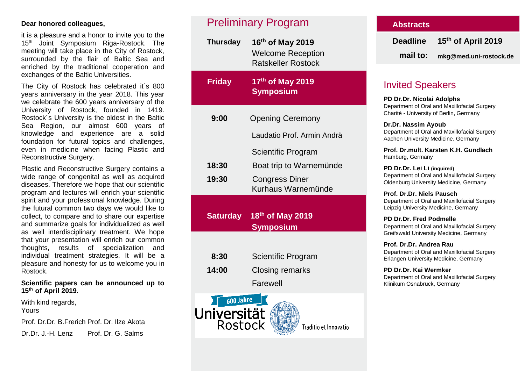## **Dear honored colleagues,**

it is a pleasure and a honor to invite you to the 15<sup>th</sup> Joint Symposium Riga-Rostock. The meeting will take place in the City of Rostock, surrounded by the flair of Baltic Sea and enriched by the traditional cooperation and exchanges of the Baltic Universities.

The City of Rostock has celebrated it´s 800 years anniversary in the year 2018. This year we celebrate the 600 years anniversary of the University of Rostock, founded in 1419. Rostock´s University is the oldest in the Baltic Sea Region, our almost 600 years of knowledge and experience are a solid foundation for futural topics and challenges, even in medicine when facing Plastic and Reconstructive Surgery.

Plastic and Reconstructive Surgery contains a wide range of congenital as well as acquired diseases. Therefore we hope that our scientific program and lectures will enrich your scientific spirit and your professional knowledge. During the futural common two days we would like to collect, to compare and to share our expertise and summarize goals for individualized as well as well interdisciplinary treatment. We hope that your presentation will enrich our common thoughts, results of specialization and individual treatment strategies. It will be a pleasure and honesty for us to welcome you in Rostock.

### **Scientific papers can be announced up to 15th of April 2019.**

With kind regards, Yours

Prof. Dr.Dr. B.Frerich Prof. Dr. Ilze Akota Dr.Dr. J.-H. Lenz Prof. Dr. G. Salms

# Preliminary Program

| <b>Thursday</b>                                  | 16th of May 2019<br><b>Welcome Reception</b><br><b>Ratskeller Rostock</b> |  |  |
|--------------------------------------------------|---------------------------------------------------------------------------|--|--|
| <b>Friday</b>                                    | 17th of May 2019<br><b>Symposium</b>                                      |  |  |
| 9:00                                             | <b>Opening Ceremony</b>                                                   |  |  |
|                                                  | Laudatio Prof. Armin Andrä                                                |  |  |
|                                                  | Scientific Program                                                        |  |  |
| 18:30                                            | Boat trip to Warnemünde                                                   |  |  |
| 19:30                                            | <b>Congress Diner</b><br>Kurhaus Warnemünde                               |  |  |
| <b>Saturday</b>                                  | 18 <sup>th</sup> of May 2019<br><b>Symposium</b>                          |  |  |
|                                                  |                                                                           |  |  |
| 8:30                                             | Scientific Program                                                        |  |  |
| 14:00                                            | <b>Closing remarks</b>                                                    |  |  |
|                                                  | Farewell                                                                  |  |  |
| 600 Jahre<br><mark>Jniversität</mark><br>Rostock | Traditio et Innovatio                                                     |  |  |

## **Abstracts**

| <b>Deadline</b> | 15 <sup>th</sup> of April 2019 |
|-----------------|--------------------------------|
| mail to:        | mkg@med.uni-rostock.de         |

## Invited Speakers

**PD Dr.Dr. Nicolai Adolphs** Department of Oral and Maxillofacial Surgery Charité - University of Berlin, Germany

**Dr.Dr. Nassim Ayoub** Department of Oral and Maxillofacial Surgery Aachen University Medicine, Germany

**Prof. Dr.mult. Karsten K.H. Gundlach** Hamburg, Germany

**PD Dr.Dr. Lei Li (inquired)** Department of Oral and Maxillofacial Surgery Oldenburg University Medicine, Germany

**Prof. Dr.Dr. Niels Pausch** Department of Oral and Maxillofacial Surgery Leipzig University Medicine, Germany

**PD Dr.Dr. Fred Podmelle** Department of Oral and Maxillofacial Surgery Greifswald University Medicine, Germany

**Prof. Dr.Dr. Andrea Rau**  Department of Oral and Maxillofacial Surgery Erlangen University Medicine, Germany

**PD Dr.Dr. Kai Wermker** Department of Oral and Maxillofacial Surgery Klinikum Osnabrück, Germany